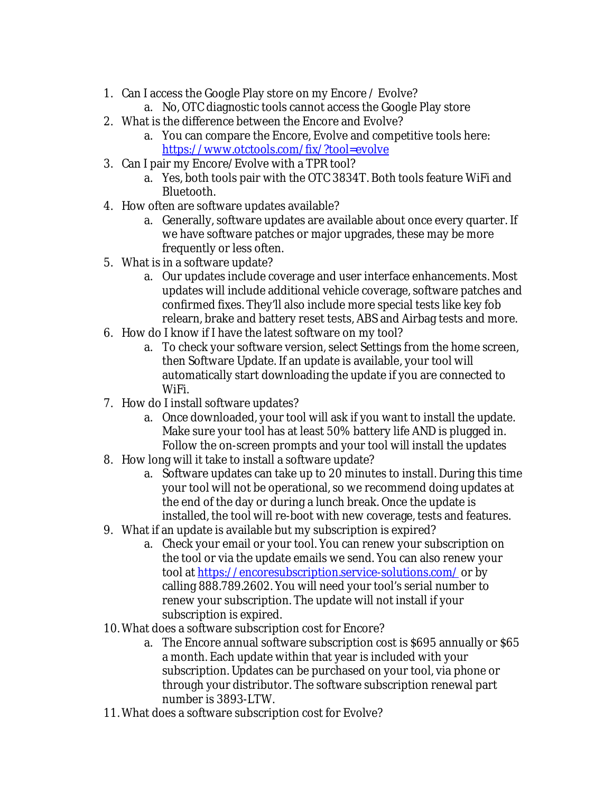- 1. Can I access the Google Play store on my Encore / Evolve?
	- a. No, OTC diagnostic tools cannot access the Google Play store
- 2. What is the difference between the Encore and Evolve?
	- a. You can compare the Encore, Evolve and competitive tools here: <https://www.otctools.com/fix/?tool=evolve>
- 3. Can I pair my Encore/Evolve with a TPR tool?
	- a. Yes, both tools pair with the OTC 3834T. Both tools feature WiFi and Bluetooth.
- 4. How often are software updates available?
	- a. Generally, software updates are available about once every quarter. If we have software patches or major upgrades, these may be more frequently or less often.
- 5. What is in a software update?
	- a. Our updates include coverage and user interface enhancements. Most updates will include additional vehicle coverage, software patches and confirmed fixes. They'll also include more special tests like key fob relearn, brake and battery reset tests, ABS and Airbag tests and more.
- 6. How do I know if I have the latest software on my tool?
	- a. To check your software version, select Settings from the home screen, then Software Update. If an update is available, your tool will automatically start downloading the update if you are connected to WiFi.
- 7. How do I install software updates?
	- a. Once downloaded, your tool will ask if you want to install the update. Make sure your tool has at least 50% battery life AND is plugged in. Follow the on-screen prompts and your tool will install the updates
- 8. How long will it take to install a software update?
	- a. Software updates can take up to 20 minutes to install. During this time your tool will not be operational, so we recommend doing updates at the end of the day or during a lunch break. Once the update is installed, the tool will re-boot with new coverage, tests and features.
- 9. What if an update is available but my subscription is expired?
	- a. Check your email or your tool. You can renew your subscription on the tool or via the update emails we send. You can also renew your tool at<https://encoresubscription.service-solutions.com/> or by calling 888.789.2602. You will need your tool's serial number to renew your subscription. The update will not install if your subscription is expired.
- 10. What does a software subscription cost for Encore?
	- a. The Encore annual software subscription cost is \$695 annually or \$65 a month. Each update within that year is included with your subscription. Updates can be purchased on your tool, via phone or through your distributor. The software subscription renewal part number is 3893-LTW.
- 11. What does a software subscription cost for Evolve?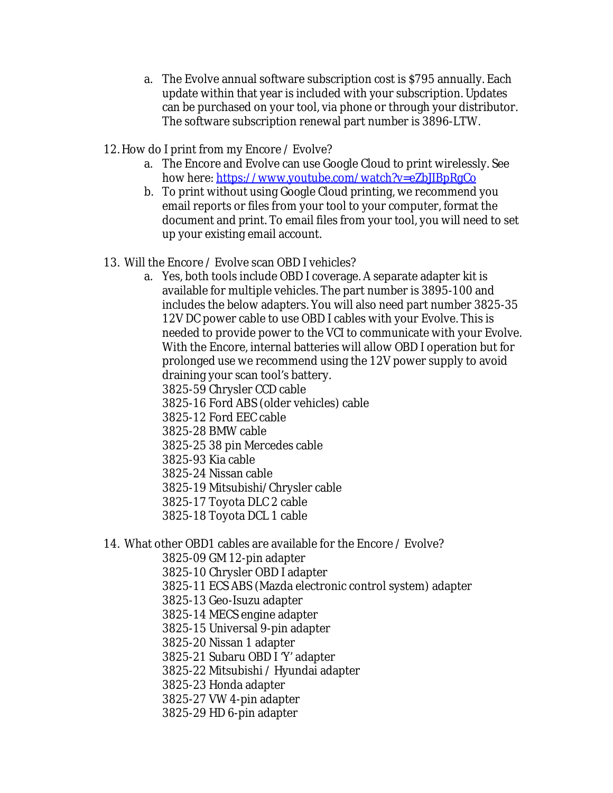- a. The Evolve annual software subscription cost is \$795 annually. Each update within that year is included with your subscription. Updates can be purchased on your tool, via phone or through your distributor. The software subscription renewal part number is 3896-LTW.
- 12. How do I print from my Encore / Evolve?
	- a. The Encore and Evolve can use Google Cloud to print wirelessly. See how here: https://www.youtube.com/watch?v=eZbJIBpRqCo
	- b. To print without using Google Cloud printing, we recommend you email reports or files from your tool to your computer, format the document and print. To email files from your tool, you will need to set up your existing email account.
- 13. Will the Encore / Evolve scan OBD I vehicles?
	- a. Yes, both tools include OBD I coverage. A separate adapter kit is available for multiple vehicles. The part number is 3895-100 and includes the below adapters. You will also need part number 3825-35 12V DC power cable to use OBD I cables with your Evolve. This is needed to provide power to the VCI to communicate with your Evolve. With the Encore, internal batteries will allow OBD I operation but for prolonged use we recommend using the 12V power supply to avoid draining your scan tool's battery.
		- 3825-59 Chrysler CCD cable
		- 3825-16 Ford ABS (older vehicles) cable
		- 3825-12 Ford EEC cable
		- 3825-28 BMW cable
		- 3825-25 38 pin Mercedes cable
		- 3825-93 Kia cable
		- 3825-24 Nissan cable
		- 3825-19 Mitsubishi/Chrysler cable
		- 3825-17 Toyota DLC 2 cable
		- 3825-18 Toyota DCL 1 cable
- 14. What other OBD1 cables are available for the Encore / Evolve?
	- 3825-09 GM 12-pin adapter
		- 3825-10 Chrysler OBD I adapter
		- 3825-11 ECS ABS (Mazda electronic control system) adapter
	- 3825-13 Geo-Isuzu adapter
	- 3825-14 MECS engine adapter
	- 3825-15 Universal 9-pin adapter
	- 3825-20 Nissan 1 adapter
	- 3825-21 Subaru OBD I 'Y' adapter
	- 3825-22 Mitsubishi / Hyundai adapter
	- 3825-23 Honda adapter
	- 3825-27 VW 4-pin adapter
	- 3825-29 HD 6-pin adapter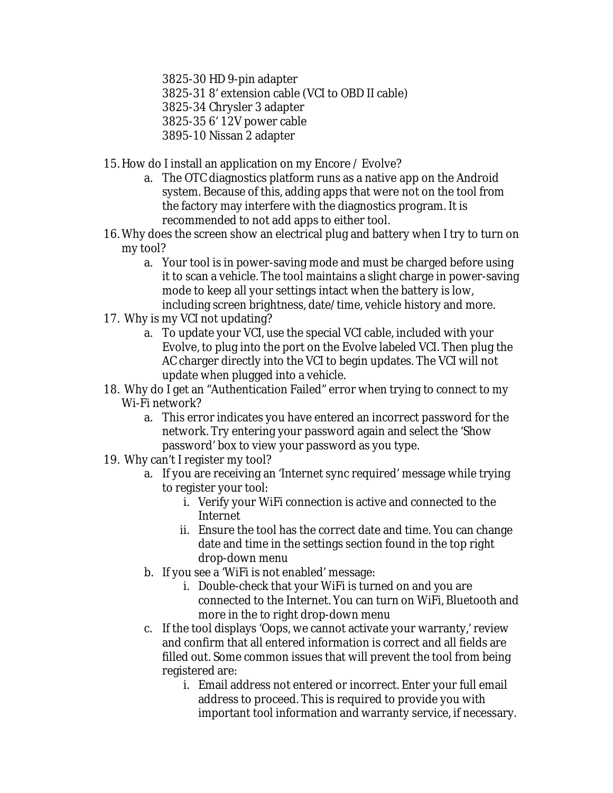3825-30 HD 9-pin adapter

3825-31 8' extension cable (VCI to OBD II cable)

3825-34 Chrysler 3 adapter

3825-35 6' 12V power cable

- 3895-10 Nissan 2 adapter
- 15. How do I install an application on my Encore / Evolve?
	- a. The OTC diagnostics platform runs as a native app on the Android system. Because of this, adding apps that were not on the tool from the factory may interfere with the diagnostics program. It is recommended to not add apps to either tool.
- 16. Why does the screen show an electrical plug and battery when I try to turn on my tool?
	- a. Your tool is in power-saving mode and must be charged before using it to scan a vehicle. The tool maintains a slight charge in power-saving mode to keep all your settings intact when the battery is low, including screen brightness, date/time, vehicle history and more.
- 17. Why is my VCI not updating?
	- a. To update your VCI, use the special VCI cable, included with your Evolve, to plug into the port on the Evolve labeled VCI. Then plug the AC charger directly into the VCI to begin updates. The VCI will not update when plugged into a vehicle.
- 18. Why do I get an "Authentication Failed" error when trying to connect to my Wi-Fi network?
	- a. This error indicates you have entered an incorrect password for the network. Try entering your password again and select the 'Show password' box to view your password as you type.
- 19. Why can't I register my tool?
	- a. If you are receiving an 'Internet sync required' message while trying to register your tool:
		- i. Verify your WiFi connection is active and connected to the Internet
		- ii. Ensure the tool has the correct date and time. You can change date and time in the settings section found in the top right drop-down menu
	- b. If you see a 'WiFi is not enabled' message:
		- i. Double-check that your WiFi is turned on and you are connected to the Internet. You can turn on WiFi, Bluetooth and more in the to right drop-down menu
	- c. If the tool displays 'Oops, we cannot activate your warranty,' review and confirm that all entered information is correct and all fields are filled out. Some common issues that will prevent the tool from being registered are:
		- i. Email address not entered or incorrect. Enter your full email address to proceed. This is required to provide you with important tool information and warranty service, if necessary.